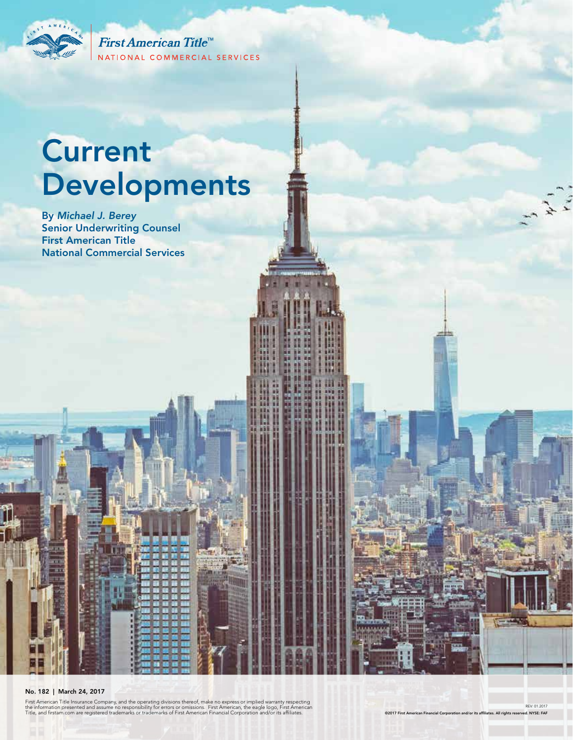

First American Title<sup>™</sup> NATIONAL COMMERCIAL SERVICES

# **Current** Developments

By *Michael J. Berey*  Senior Underwriting Counsel First American Title National Commercial Services

#### No. 182 | March 24, 2017

First American Title Insurance Company, and the operating divisions thereof, make no express or implied warranty respecting<br>the information presented and assume no responsibility for errors or omissions. First American, th

REV: 01.2017

 $x^2$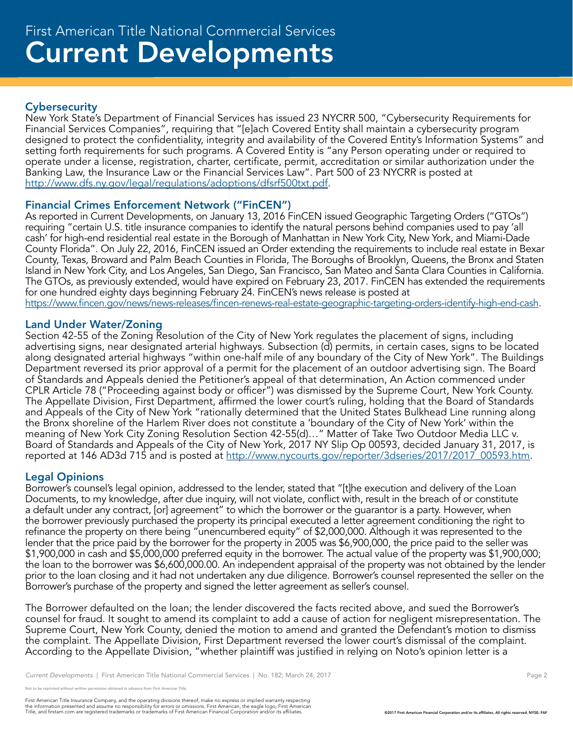# **Cybersecurity**

New York State's Department of Financial Services has issued 23 NYCRR 500, "Cybersecurity Requirements for Financial Services Companies", requiring that "[e]ach Covered Entity shall maintain a cybersecurity program designed to protect the confidentiality, integrity and availability of the Covered Entity's Information Systems" and setting forth requirements for such programs. A Covered Entity is "any Person operating under or required to operate under a license, registration, charter, certificate, permit, accreditation or similar authorization under the Banking Law, the Insurance Law or the Financial Services Law". Part 500 of 23 NYCRR is posted at http://www.dfs.ny.gov/legal/regulations/adoptions/dfsrf500txt.pdf.

## Financial Crimes Enforcement Network ("FinCEN")

As reported in Current Developments, on January 13, 2016 FinCEN issued Geographic Targeting Orders ("GTOs") requiring "certain U.S. title insurance companies to identify the natural persons behind companies used to pay 'all cash' for high-end residential real estate in the Borough of Manhattan in New York City, New York, and Miami-Dade County Florida". On July 22, 2016, FinCEN issued an Order extending the requirements to include real estate in Bexar County, Texas, Broward and Palm Beach Counties in Florida, The Boroughs of Brooklyn, Queens, the Bronx and Staten Island in New York City, and Los Angeles, San Diego, San Francisco, San Mateo and Santa Clara Counties in California. The GTOs, as previously extended, would have expired on February 23, 2017. FinCEN has extended the requirements for one hundred eighty days beginning February 24. FinCEN's news release is posted at https://www.fincen.gov/news/news-releases/fincen-renews-real-estate-geographic-targeting-orders-identify-high-end-cash.

## Land Under Water/Zoning

Section 42-55 of the Zoning Resolution of the City of New York regulates the placement of signs, including advertising signs, near designated arterial highways. Subsection (d) permits, in certain cases, signs to be located along designated arterial highways "within one-half mile of any boundary of the City of New York". The Buildings Department reversed its prior approval of a permit for the placement of an outdoor advertising sign. The Board of Standards and Appeals denied the Petitioner's appeal of that determination, An Action commenced under CPLR Article 78 ("Proceeding against body or officer") was dismissed by the Supreme Court, New York County. The Appellate Division, First Department, affirmed the lower court's ruling, holding that the Board of Standards and Appeals of the City of New York "rationally determined that the United States Bulkhead Line running along the Bronx shoreline of the Harlem River does not constitute a 'boundary of the City of New York' within the meaning of New York City Zoning Resolution Section 42-55(d)…" Matter of Take Two Outdoor Media LLC v. Board of Standards and Appeals of the City of New York, 2017 NY Slip Op 00593, decided January 31, 2017, is reported at 146 AD3d 715 and is posted at http://www.nycourts.gov/reporter/3dseries/2017/2017\_00593.htm.

# Legal Opinions

Borrower's counsel's legal opinion, addressed to the lender, stated that "[t]he execution and delivery of the Loan Documents, to my knowledge, after due inquiry, will not violate, conflict with, result in the breach of or constitute a default under any contract, [or] agreement" to which the borrower or the guarantor is a party. However, when the borrower previously purchased the property its principal executed a letter agreement conditioning the right to refinance the property on there being "unencumbered equity" of \$2,000,000. Although it was represented to the lender that the price paid by the borrower for the property in 2005 was \$6,900,000, the price paid to the seller was \$1,900,000 in cash and \$5,000,000 preferred equity in the borrower. The actual value of the property was \$1,900,000; the loan to the borrower was \$6,600,000.00. An independent appraisal of the property was not obtained by the lender prior to the loan closing and it had not undertaken any due diligence. Borrower's counsel represented the seller on the Borrower's purchase of the property and signed the letter agreement as seller's counsel.

The Borrower defaulted on the loan; the lender discovered the facts recited above, and sued the Borrower's counsel for fraud. It sought to amend its complaint to add a cause of action for negligent misrepresentation. The Supreme Court, New York County, denied the motion to amend and granted the Defendant's motion to dismiss the complaint. The Appellate Division, First Department reversed the lower court's dismissal of the complaint. According to the Appellate Division, "whether plaintiff was justified in relying on Noto's opinion letter is a

reprinted without written permission obtained in advance from First American Title.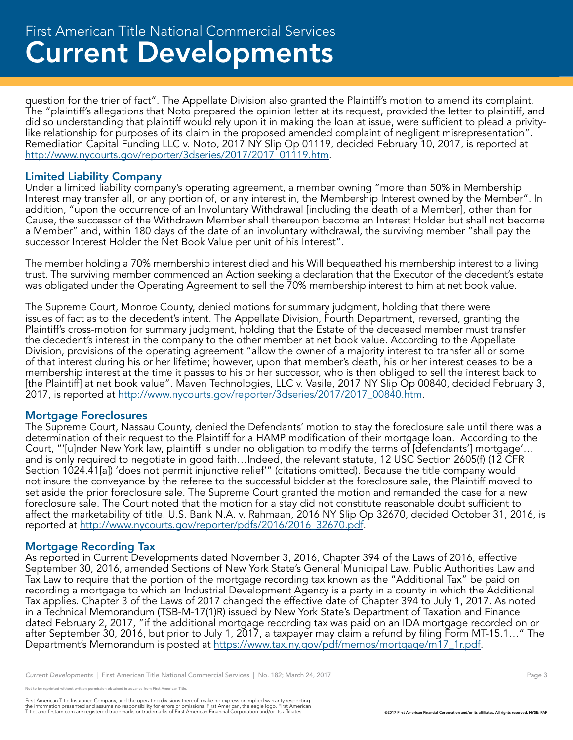# Current Developments First American Title National Commercial Services

question for the trier of fact". The Appellate Division also granted the Plaintiff's motion to amend its complaint. The "plaintiff's allegations that Noto prepared the opinion letter at its request, provided the letter to plaintiff, and did so understanding that plaintiff would rely upon it in making the loan at issue, were sufficient to plead a privitylike relationship for purposes of its claim in the proposed amended complaint of negligent misrepresentation". Remediation Capital Funding LLC v. Noto, 2017 NY Slip Op 01119, decided February 10, 2017, is reported at http://www.nycourts.gov/reporter/3dseries/2017/2017\_01119.htm.

## Limited Liability Company

Under a limited liability company's operating agreement, a member owning "more than 50% in Membership Interest may transfer all, or any portion of, or any interest in, the Membership Interest owned by the Member". In addition, "upon the occurrence of an Involuntary Withdrawal [including the death of a Member], other than for Cause, the successor of the Withdrawn Member shall thereupon become an Interest Holder but shall not become a Member" and, within 180 days of the date of an involuntary withdrawal, the surviving member "shall pay the successor Interest Holder the Net Book Value per unit of his Interest".

The member holding a 70% membership interest died and his Will bequeathed his membership interest to a living trust. The surviving member commenced an Action seeking a declaration that the Executor of the decedent's estate was obligated under the Operating Agreement to sell the 70% membership interest to him at net book value.

The Supreme Court, Monroe County, denied motions for summary judgment, holding that there were issues of fact as to the decedent's intent. The Appellate Division, Fourth Department, reversed, granting the Plaintiff's cross-motion for summary judgment, holding that the Estate of the deceased member must transfer the decedent's interest in the company to the other member at net book value. According to the Appellate Division, provisions of the operating agreement "allow the owner of a majority interest to transfer all or some of that interest during his or her lifetime; however, upon that member's death, his or her interest ceases to be a membership interest at the time it passes to his or her successor, who is then obliged to sell the interest back to [the Plaintiff] at net book value". Maven Technologies, LLC v. Vasile, 2017 NY Slip Op 00840, decided February 3, 2017, is reported at http://www.nycourts.gov/reporter/3dseries/2017/2017\_00840.htm.

#### Mortgage Foreclosures

The Supreme Court, Nassau County, denied the Defendants' motion to stay the foreclosure sale until there was a determination of their request to the Plaintiff for a HAMP modification of their mortgage loan. According to the Court, "'[u]nder New York law, plaintiff is under no obligation to modify the terms of [defendants'] mortgage'… and is only required to negotiate in good faith…Indeed, the relevant statute, 12 USC Section 2605(f) (12 CFR Section 1024.41[a]) 'does not permit injunctive relief'" (citations omitted). Because the title company would not insure the conveyance by the referee to the successful bidder at the foreclosure sale, the Plaintiff moved to set aside the prior foreclosure sale. The Supreme Court granted the motion and remanded the case for a new foreclosure sale. The Court noted that the motion for a stay did not constitute reasonable doubt sufficient to affect the marketability of title. U.S. Bank N.A. v. Rahmaan, 2016 NY Slip Op 32670, decided October 31, 2016, is reported at http://www.nycourts.gov/reporter/pdfs/2016/2016\_32670.pdf.

#### Mortgage Recording Tax

As reported in Current Developments dated November 3, 2016, Chapter 394 of the Laws of 2016, effective September 30, 2016, amended Sections of New York State's General Municipal Law, Public Authorities Law and Tax Law to require that the portion of the mortgage recording tax known as the "Additional Tax" be paid on recording a mortgage to which an Industrial Development Agency is a party in a county in which the Additional Tax applies. Chapter 3 of the Laws of 2017 changed the effective date of Chapter 394 to July 1, 2017. As noted in a Technical Memorandum (TSB-M-17(1)R) issued by New York State's Department of Taxation and Finance dated February 2, 2017, "if the additional mortgage recording tax was paid on an IDA mortgage recorded on or after September 30, 2016, but prior to July 1, 2017, a taxpayer may claim a refund by filing Form MT-15.1…" The Department's Memorandum is posted at https://www.tax.ny.gov/pdf/memos/mortgage/m17\_1r.pdf.

*Current Developments* | First American Title National Commercial Services | No. 182; March 24, 2017 **Page 3** Page 3

not to be reprinted without written permission obtained in advance from First American Title.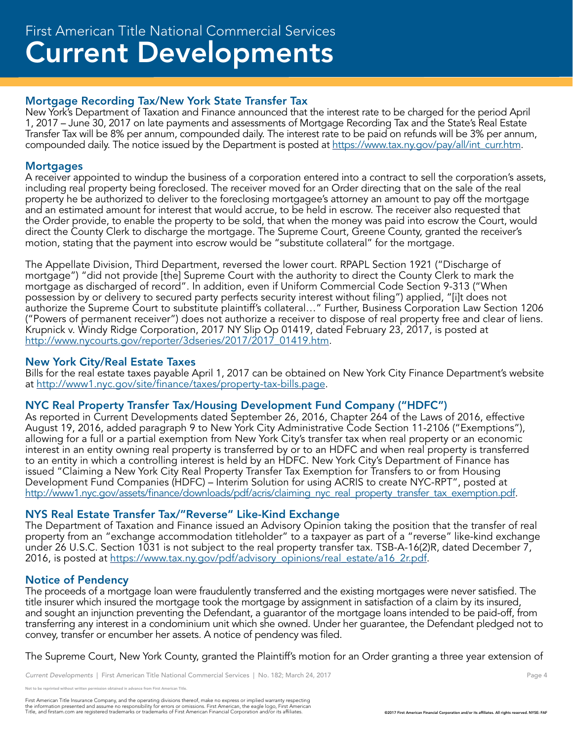# Mortgage Recording Tax/New York State Transfer Tax

New York's Department of Taxation and Finance announced that the interest rate to be charged for the period April 1, 2017 – June 30, 2017 on late payments and assessments of Mortgage Recording Tax and the State's Real Estate Transfer Tax will be 8% per annum, compounded daily. The interest rate to be paid on refunds will be 3% per annum, compounded daily. The notice issued by the Department is posted at https://www.tax.ny.gov/pay/all/int\_curr.htm.

# **Mortgages**

A receiver appointed to windup the business of a corporation entered into a contract to sell the corporation's assets, including real property being foreclosed. The receiver moved for an Order directing that on the sale of the real property he be authorized to deliver to the foreclosing mortgagee's attorney an amount to pay off the mortgage and an estimated amount for interest that would accrue, to be held in escrow. The receiver also requested that the Order provide, to enable the property to be sold, that when the money was paid into escrow the Court, would direct the County Clerk to discharge the mortgage. The Supreme Court, Greene County, granted the receiver's motion, stating that the payment into escrow would be "substitute collateral" for the mortgage.

The Appellate Division, Third Department, reversed the lower court. RPAPL Section 1921 ("Discharge of mortgage") "did not provide [the] Supreme Court with the authority to direct the County Clerk to mark the mortgage as discharged of record". In addition, even if Uniform Commercial Code Section 9-313 ("When possession by or delivery to secured party perfects security interest without filing") applied, "[i]t does not authorize the Supreme Court to substitute plaintiff's collateral…" Further, Business Corporation Law Section 1206 ("Powers of permanent receiver") does not authorize a receiver to dispose of real property free and clear of liens. Krupnick v. Windy Ridge Corporation, 2017 NY Slip Op 01419, dated February 23, 2017, is posted at http://www.nycourts.gov/reporter/3dseries/2017/2017\_01419.htm.

# New York City/Real Estate Taxes

Bills for the real estate taxes payable April 1, 2017 can be obtained on New York City Finance Department's website at http://www1.nyc.gov/site/finance/taxes/property-tax-bills.page.

# NYC Real Property Transfer Tax/Housing Development Fund Company ("HDFC")

As reported in Current Developments dated September 26, 2016, Chapter 264 of the Laws of 2016, effective August 19, 2016, added paragraph 9 to New York City Administrative Code Section 11-2106 ("Exemptions"), allowing for a full or a partial exemption from New York City's transfer tax when real property or an economic interest in an entity owning real property is transferred by or to an HDFC and when real property is transferred to an entity in which a controlling interest is held by an HDFC. New York City's Department of Finance has issued "Claiming a New York City Real Property Transfer Tax Exemption for Transfers to or from Housing Development Fund Companies (HDFC) – Interim Solution for using ACRIS to create NYC-RPT", posted at http://www1.nyc.gov/assets/finance/downloads/pdf/acris/claiming\_nyc\_real\_property\_transfer\_tax\_exemption.pdf.

# NYS Real Estate Transfer Tax/"Reverse" Like-Kind Exchange

The Department of Taxation and Finance issued an Advisory Opinion taking the position that the transfer of real property from an "exchange accommodation titleholder" to a taxpayer as part of a "reverse" like-kind exchange under 26 U.S.C. Section 1031 is not subject to the real property transfer tax. TSB-A-16(2)R, dated December 7, 2016, is posted at https://www.tax.ny.gov/pdf/advisory\_opinions/real\_estate/a16\_2r.pdf.

# Notice of Pendency

The proceeds of a mortgage loan were fraudulently transferred and the existing mortgages were never satisfied. The title insurer which insured the mortgage took the mortgage by assignment in satisfaction of a claim by its insured, and sought an injunction preventing the Defendant, a guarantor of the mortgage loans intended to be paid-off, from transferring any interest in a condominium unit which she owned. Under her guarantee, the Defendant pledged not to convey, transfer or encumber her assets. A notice of pendency was filed.

The Supreme Court, New York County, granted the Plaintiff's motion for an Order granting a three year extension of